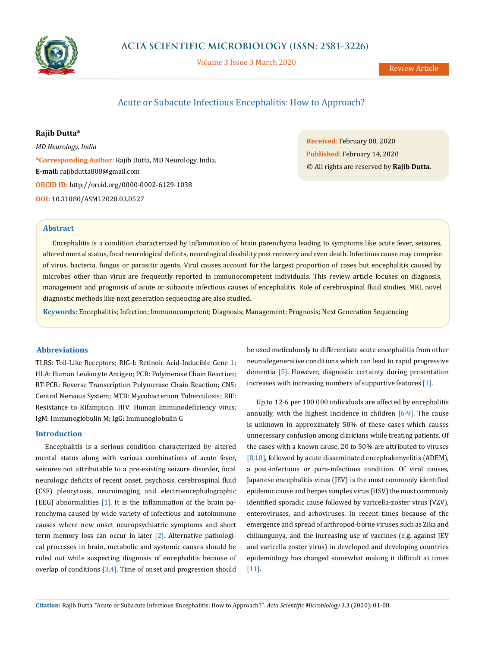

Volume 3 Issue 3 March 2020

# Acute or Subacute Infectious Encephalitis: How to Approach?

# **Rajib Dutta\***

*MD Neurology, India* **\*Corresponding Author:** Rajib Dutta, MD Neurology, India. **E-mail:** [rajibdutta808@gmail.com](mailto:rajibdutta808%40gmail.com?subject=) **ORCID ID:** <http://orcid.org/0000-0002-6129-1038> **DOI:** [10.31080/ASMI.2020.03.0527](https://actascientific.com/ASMI/pdf/ASMI-03-0527.pdf)

**Received:** February 08, 2020 **Published:** February 14, 2020 © All rights are reserved by **Rajib Dutta***.*

#### **Abstract**

Encephalitis is a condition characterized by inflammation of brain parenchyma leading to symptoms like acute fever, seizures, altered mental status, focal neurological deficits, neurological disability post recovery and even death. Infectious cause may comprise of virus, bacteria, fungus or parasitic agents. Viral causes account for the largest proportion of cases but encephalitis caused by microbes other than virus are frequently reported in immunocompetent individuals. This review article focuses on diagnosis, management and prognosis of acute or subacute infectious causes of encephalitis. Role of cerebrospinal fluid studies, MRI, novel diagnostic methods like next generation sequencing are also studied.

**Keywords:** Encephalitis; Infection; Immunocompetent; Diagnosis; Management; Prognosis; Next Generation Sequencing

### **Abbreviations**

TLRS: Toll-Like Receptors; RIG-I: Retinoic Acid-Inducible Gene 1; HLA: Human Leukocyte Antigen; PCR: Polymerase Chain Reaction; RT-PCR: Reverse Transcription Polymerase Chain Reaction; CNS: Central Nervous System; MTB: Mycobacterium Tuberculosis; RIF: Resistance to Rifampicin; HIV: Human Immunodeficiency virus; IgM: Immunoglobulin M; IgG: Immunoglobulin G

### **Introduction**

Encephalitis is a serious condition characterized by altered mental status along with various combinations of acute fever, seizures not attributable to a pre-existing seizure disorder, focal neurologic deficits of recent onset, psychosis, cerebrospinal fluid (CSF) pleocytosis, neuroimaging and electroencephalographic (EEG) abnormalities  $[1]$ . It is the inflammation of the brain parenchyma caused by wide variety of infectious and autoimmune causes where new onset neuropsychiatric symptoms and short term memory loss can occur in later [2]. Alternative pathological processes in brain, metabolic and systemic causes should be ruled out while suspecting diagnosis of encephalitis because of overlap of conditions [3,4]. Time of onset and progression should

be used meticulously to differentiate acute encephalitis from other neurodegenerative conditions which can lead to rapid progressive dementia [5]. However, diagnostic certainty during presentation increases with increasing numbers of supportive features [1].

Up to 12·6 per 100 000 individuals are affected by encephalitis annually, with the highest incidence in children [6-9]. The cause is unknown in approximately 50% of these cases which causes unnecessary confusion among clinicians while treating patients. Of the cases with a known cause, 20 to 50% are attributed to viruses [8,10], followed by acute disseminated encephalomyelitis (ADEM), a post-infectious or para-infectious condition. Of viral causes, Japanese encephalitis virus (JEV) is the most commonly identified epidemic cause and herpes simplex virus (HSV) the most commonly identified sporadic cause followed by varicella-zoster virus (VZV), enteroviruses, and arboviruses. In recent times because of the emergence and spread of arthropod-borne viruses such as Zika and chikungunya, and the increasing use of vaccines (e.g. against JEV and varicella zoster virus) in developed and developing countries epidemiology has changed somewhat making it difficult at times [11].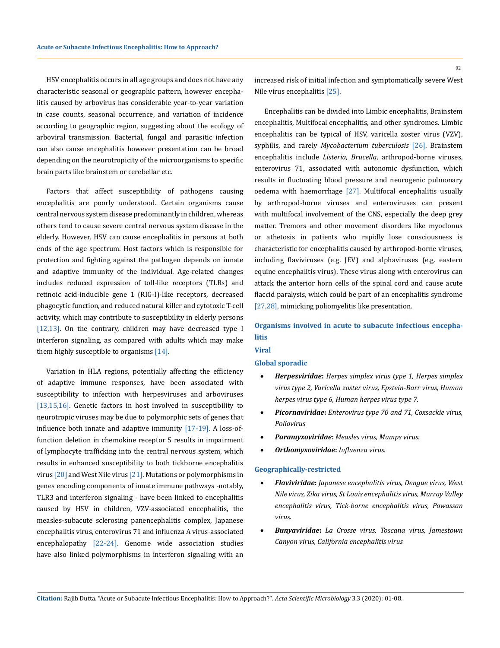HSV encephalitis occurs in all age groups and does not have any characteristic seasonal or geographic pattern, however encephalitis caused by arbovirus has considerable year-to-year variation in case counts, seasonal occurrence, and variation of incidence according to geographic region, suggesting about the ecology of arboviral transmission. Bacterial, fungal and parasitic infection can also cause encephalitis however presentation can be broad depending on the neurotropicity of the microorganisms to specific brain parts like brainstem or cerebellar etc.

Factors that affect susceptibility of pathogens causing encephalitis are poorly understood. Certain organisms cause central nervous system disease predominantly in children, whereas others tend to cause severe central nervous system disease in the elderly. However, HSV can cause encephalitis in persons at both ends of the age spectrum. Host factors which is responsible for protection and fighting against the pathogen depends on innate and adaptive immunity of the individual. Age-related changes includes reduced expression of toll-like receptors (TLRs) and retinoic acid-inducible gene 1 (RIG-I)-like receptors, decreased phagocytic function, and reduced natural killer and cytotoxic T-cell activity, which may contribute to susceptibility in elderly persons [12,13]. On the contrary, children may have decreased type I interferon signaling, as compared with adults which may make them highly susceptible to organisms [14].

Variation in HLA regions, potentially affecting the efficiency of adaptive immune responses, have been associated with susceptibility to infection with herpesviruses and arboviruses [13,15,16]. Genetic factors in host involved in susceptibility to neurotropic viruses may be due to polymorphic sets of genes that influence both innate and adaptive immunity [17-19]. A loss-offunction deletion in chemokine receptor 5 results in impairment of lymphocyte trafficking into the central nervous system, which results in enhanced susceptibility to both tickborne encephalitis virus [20] and West Nile virus [21]. Mutations or polymorphisms in genes encoding components of innate immune pathways -notably, TLR3 and interferon signaling - have been linked to encephalitis caused by HSV in children, VZV-associated encephalitis, the measles-subacute sclerosing panencephalitis complex, Japanese encephalitis virus, enterovirus 71 and influenza A virus-associated encephalopathy [22-24]. Genome wide association studies have also linked polymorphisms in interferon signaling with an increased risk of initial infection and symptomatically severe West Nile virus encephalitis [25].

Encephalitis can be divided into Limbic encephalitis, Brainstem encephalitis, Multifocal encephalitis, and other syndromes. Limbic encephalitis can be typical of HSV, varicella zoster virus (VZV), syphilis, and rarely *Mycobacterium tuberculosis* [26]. Brainstem encephalitis include *Listeria, Brucella*, arthropod-borne viruses, enterovirus 71, associated with autonomic dysfunction, which results in fluctuating blood pressure and neurogenic pulmonary oedema with haemorrhage [27]. Multifocal encephalitis usually by arthropod-borne viruses and enteroviruses can present with multifocal involvement of the CNS, especially the deep grey matter. Tremors and other movement disorders like myoclonus or athetosis in patients who rapidly lose consciousness is characteristic for encephalitis caused by arthropod-borne viruses, including flaviviruses (e.g. JEV) and alphaviruses (e.g. eastern equine encephalitis virus). These virus along with enterovirus can attack the anterior horn cells of the spinal cord and cause acute flaccid paralysis, which could be part of an encephalitis syndrome [27,28], mimicking poliomyelitis like presentation.

# **Organisms involved in acute to subacute infectious encephalitis**

# **Global sporadic**

**Viral** 

- **Herpesviridae:** *Herpes simplex virus type 1, Herpes simplex virus type 2, Varicella zoster virus, Epstein-Barr virus, Human herpes virus type 6, Human herpes virus type 7.*
- • *Picornaviridae***:** *Enterovirus type 70 and 71, Coxsackie virus, Poliovirus*
- • *Paramyxoviridae***:** *Measles virus, Mumps virus.*
- • *Orthomyxoviridae***:** *Influenza virus.*

#### **Geographically-restricted**

- • *Flaviviridae***:** *Japanese encephalitis virus, Dengue virus, West Nile virus, Zika virus, St Louis encephalitis virus, Murray Valley encephalitis virus, Tick-borne encephalitis virus, Powassan virus*.
- • *Bunyaviridae***:** *La Crosse virus, Toscana virus, Jamestown Canyon virus, California encephalitis virus*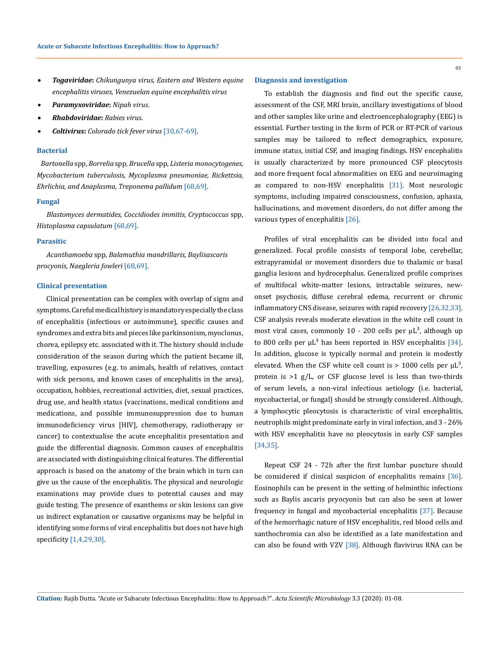- • *Togaviridae***:** *Chikungunya virus, Eastern and Western equine encephalitis viruses, Venezuelan equine encephalitis virus*
- • *Paramyxoviridae***:** *Nipah virus*.
- • *Rhabdoviridae***:** *Rabies virus*.
- • *Coltivirus***:** *Colorado tick fever virus* [30,67-69].

#### **Bacterial**

*Bartonella* spp, *Borrelia* spp, *Brucella* spp, *Listeria monocytogenes, Mycobacterium tuberculosis*, *Mycoplasma pneumoniae, Rickettsia, Ehrlichia, and Anaplasma, Treponema pallidum* [68,69].

# **Fungal**

*Blastomyces dermatides, Coccidiodes immitis, Cryptococcus* spp, *Histoplasma capsulatum* [68,69].

# **Parasitic**

*Acanthamoeba* spp, *Balamuthia mandrillaris*, *Baylisascaris procyonis*, *Naegleria fowleri* [68,69].

#### **Clinical presentation**

Clinical presentation can be complex with overlap of signs and symptoms. Careful medical history is mandatory especially the class of encephalitis (infectious or autoimmune), specific causes and syndromes and extra bits and pieces like parkinsonism, myoclonus, chorea, epilepsy etc. associated with it. The history should include consideration of the season during which the patient became ill, travelling, exposures (e.g. to animals, health of relatives, contact with sick persons, and known cases of encephalitis in the area), occupation, hobbies, recreational activities, diet, sexual practices, drug use, and health status (vaccinations, medical conditions and medications, and possible immunosuppression due to human immunodeficiency virus [HIV], chemotherapy, radiotherapy or cancer) to contextualise the acute encephalitis presentation and guide the differential diagnosis. Common causes of encephalitis are associated with distinguishing clinical features. The differential approach is based on the anatomy of the brain which in turn can give us the cause of the encephalitis. The physical and neurologic examinations may provide clues to potential causes and may guide testing. The presence of exanthems or skin lesions can give us indirect explanation or causative organisms may be helpful in identifying some forms of viral encephalitis but does not have high specificity [1,4,29,30].

### **Diagnosis and investigation**

To establish the diagnosis and find out the specific cause, assessment of the CSF, MRI brain, ancillary investigations of blood and other samples like urine and electroencephalography (EEG) is essential. Further testing in the form of PCR or RT-PCR of various samples may be tailored to reflect demographics, exposure, immune status, initial CSF, and imaging findings. HSV encephalitis is usually characterized by more pronounced CSF pleocytosis and more frequent focal abnormalities on EEG and neuroimaging as compared to non-HSV encephalitis [31]. Most neurologic symptoms, including impaired consciousness, confusion, aphasia, hallucinations, and movement disorders, do not differ among the various types of encephalitis [26].

Profiles of viral encephalitis can be divided into focal and generalized. Focal profile consists of temporal lobe, cerebellar, extrapyramidal or movement disorders due to thalamic or basal ganglia lesions and hydrocephalus. Generalized profile comprises of multifocal white-matter lesions, intractable seizures, newonset psychosis, diffuse cerebral edema, recurrent or chronic inflammatory CNS disease, seizures with rapid recovery [26,32,33]. CSF analysis reveals moderate elevation in the white cell count in most viral cases, commonly 10 - 200 cells per  $\mu$ L<sup>3</sup>, although up to 800 cells per  $\mu$ L<sup>3</sup> has been reported in HSV encephalitis [34]. In addition, glucose is typically normal and protein is modestly elevated. When the CSF white cell count is  $> 1000$  cells per  $\mu$ L<sup>3</sup>, protein is >1 g/L, or CSF glucose level is less than two-thirds of serum levels, a non-viral infectious aetiology (i.e. bacterial, mycobacterial, or fungal) should be strongly considered. Although, a lymphocytic pleocytosis is characteristic of viral encephalitis, neutrophils might predominate early in viral infection, and 3 - 26% with HSV encephalitis have no pleocytosis in early CSF samples [34,35].

Repeat CSF 24 - 72h after the first lumbar puncture should be considered if clinical suspicion of encephalitis remains [36]. Eosinophils can be present in the setting of helminthic infections such as Baylis ascaris pryocyonis but can also be seen at lower frequency in fungal and mycobacterial encephalitis [37]. Because of the hemorrhagic nature of HSV encephalitis, red blood cells and xanthochromia can also be identified as a late manifestation and can also be found with VZV  $[38]$ . Although flavivirus RNA can be

03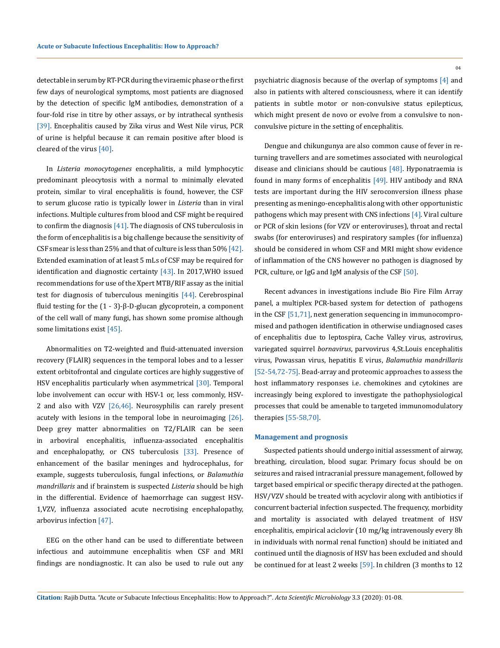detectable in serum by RT-PCR during the viraemic phase or the first few days of neurological symptoms, most patients are diagnosed by the detection of specific IgM antibodies, demonstration of a four-fold rise in titre by other assays, or by intrathecal synthesis [39]. Encephalitis caused by Zika virus and West Nile virus, PCR of urine is helpful because it can remain positive after blood is cleared of the virus [40].

In *Listeria monocytogenes* encephalitis, a mild lymphocytic predominant pleocytosis with a normal to minimally elevated protein, similar to viral encephalitis is found, however, the CSF to serum glucose ratio is typically lower in *Listeria* than in viral infections. Multiple cultures from blood and CSF might be required to confirm the diagnosis  $[41]$ . The diagnosis of CNS tuberculosis in the form of encephalitis is a big challenge because the sensitivity of CSF smear is less than 25% and that of culture is less than 50% [42]. Extended examination of at least 5 mLs of CSF may be required for identification and diagnostic certainty [43]. In 2017,WHO issued recommendations for use of the Xpert MTB/RIF assay as the initial test for diagnosis of tuberculous meningitis [44]. Cerebrospinal fluid testing for the (1 - 3)-β-D-glucan glycoprotein, a component of the cell wall of many fungi, has shown some promise although some limitations exist [45].

Abnormalities on T2-weighted and fluid-attenuated inversion recovery (FLAIR) sequences in the temporal lobes and to a lesser extent orbitofrontal and cingulate cortices are highly suggestive of HSV encephalitis particularly when asymmetrical [30]. Temporal lobe involvement can occur with HSV-1 or, less commonly, HSV-2 and also with VZV  $[26,46]$ . Neurosyphilis can rarely present acutely with lesions in the temporal lobe in neuroimaging [26]. Deep grey matter abnormalities on T2/FLAIR can be seen in arboviral encephalitis, influenza-associated encephalitis and encephalopathy, or CNS tuberculosis [33]. Presence of enhancement of the basilar meninges and hydrocephalus, for example, suggests tuberculosis, fungal infections, or *Balamuthia mandrillaris* and if brainstem is suspected *Listeria* should be high in the differential. Evidence of haemorrhage can suggest HSV-1,VZV, influenza associated acute necrotising encephalopathy, arbovirus infection [47].

EEG on the other hand can be used to differentiate between infectious and autoimmune encephalitis when CSF and MRI findings are nondiagnostic. It can also be used to rule out any

psychiatric diagnosis because of the overlap of symptoms [4] and also in patients with altered consciousness, where it can identify patients in subtle motor or non-convulsive status epilepticus,

Dengue and chikungunya are also common cause of fever in returning travellers and are sometimes associated with neurological disease and clinicians should be cautious [48]. Hyponatraemia is found in many forms of encephalitis [49]. HIV antibody and RNA tests are important during the HIV seroconversion illness phase presenting as meningo-encephalitis along with other opportunistic pathogens which may present with CNS infections [4]. Viral culture or PCR of skin lesions (for VZV or enteroviruses), throat and rectal swabs (for enteroviruses) and respiratory samples (for influenza) should be considered in whom CSF and MRI might show evidence of inflammation of the CNS however no pathogen is diagnosed by PCR, culture, or IgG and IgM analysis of the CSF [50].

which might present de novo or evolve from a convulsive to non-

convulsive picture in the setting of encephalitis.

Recent advances in investigations include Bio Fire Film Array panel, a multiplex PCR-based system for detection of pathogens in the CSF [51,71], next generation sequencing in immunocompromised and pathogen identification in otherwise undiagnosed cases of encephalitis due to leptospira, Cache Valley virus, astrovirus, variegated squirrel *bornavirus*, parvovirus 4,St.Louis encephalitis virus, Powassan virus, hepatitis E virus, *Balamuthia mandrillaris* [52-54,72-75]. Bead-array and proteomic approaches to assess the host inflammatory responses i.e. chemokines and cytokines are increasingly being explored to investigate the pathophysiological processes that could be amenable to targeted immunomodulatory therapies [55-58,70].

#### **Management and prognosis**

Suspected patients should undergo initial assessment of airway, breathing, circulation, blood sugar. Primary focus should be on seizures and raised intracranial pressure management, followed by target based empirical or specific therapy directed at the pathogen. HSV/VZV should be treated with acyclovir along with antibiotics if concurrent bacterial infection suspected. The frequency, morbidity and mortality is associated with delayed treatment of HSV encephalitis, empirical aciclovir (10 mg/kg intravenously every 8h in individuals with normal renal function) should be initiated and continued until the diagnosis of HSV has been excluded and should be continued for at least 2 weeks [59]. In children (3 months to 12

**Citation:** Rajib Dutta*.* "Acute or Subacute Infectious Encephalitis: How to Approach?". *Acta Scientific Microbiology* 3.3 (2020): 01-08.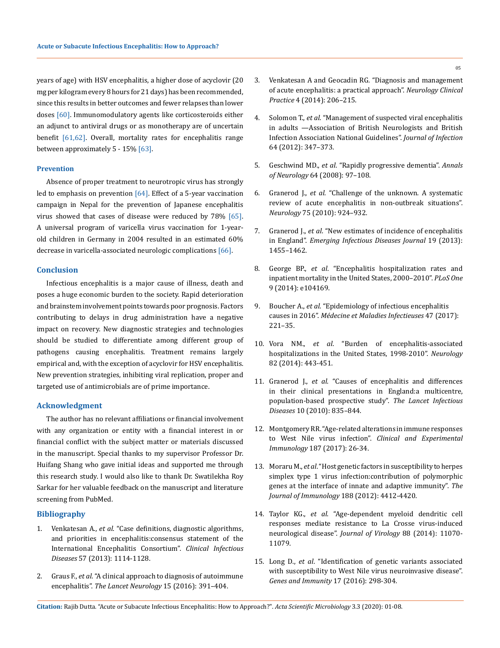years of age) with HSV encephalitis, a higher dose of acyclovir (20 mg per kilogram every 8 hours for 21 days) has been recommended, since this results in better outcomes and fewer relapses than lower doses [60]. Immunomodulatory agents like corticosteroids either an adjunct to antiviral drugs or as monotherapy are of uncertain benefit [61,62]. Overall, mortality rates for encephalitis range between approximately 5 - 15% [63].

### **Prevention**

Absence of proper treatment to neurotropic virus has strongly led to emphasis on prevention [64]. Effect of a 5-year vaccination campaign in Nepal for the prevention of Japanese encephalitis virus showed that cases of disease were reduced by 78% [65]. A universal program of varicella virus vaccination for 1-yearold children in Germany in 2004 resulted in an estimated 60% decrease in varicella-associated neurologic complications [66].

#### **Conclusion**

Infectious encephalitis is a major cause of illness, death and poses a huge economic burden to the society. Rapid deterioration and brainstem involvement points towards poor prognosis. Factors contributing to delays in drug administration have a negative impact on recovery. New diagnostic strategies and technologies should be studied to differentiate among different group of pathogens causing encephalitis. Treatment remains largely empirical and, with the exception of acyclovir for HSV encephalitis. New prevention strategies, inhibiting viral replication, proper and targeted use of antimicrobials are of prime importance.

### **Acknowledgment**

The author has no relevant affiliations or financial involvement with any organization or entity with a financial interest in or financial conflict with the subject matter or materials discussed in the manuscript. Special thanks to my supervisor Professor Dr. Huifang Shang who gave initial ideas and supported me through this research study. I would also like to thank Dr. Swatilekha Roy Sarkar for her valuable feedback on the manuscript and literature screening from PubMed.

# **Bibliography**

- 1. Venkatesan A., *et al*[. "Case definitions, diagnostic algorithms,](https://academic.oup.com/cid/article/57/8/1114/529190)  [and priorities in encephalitis:consensus statement of the](https://academic.oup.com/cid/article/57/8/1114/529190)  [International Encephalitis Consortium".](https://academic.oup.com/cid/article/57/8/1114/529190) *Clinical Infectious Diseases* [57 \(2013\): 1114-1128.](https://academic.oup.com/cid/article/57/8/1114/529190)
- 2. Graus F., *et al*[. "A clinical approach to diagnosis of autoimmune](https://www.ncbi.nlm.nih.gov/pubmed/26906964)  encephalitis". *[The Lancet Neurology](https://www.ncbi.nlm.nih.gov/pubmed/26906964)* 15 (2016): 391–404.
- 3. [Venkatesan A and Geocadin RG. "Diagnosis and management](https://www.ncbi.nlm.nih.gov/pmc/articles/PMC4121461/)  [of acute encephalitis: a practical approach".](https://www.ncbi.nlm.nih.gov/pmc/articles/PMC4121461/) *Neurology Clinical Practice* [4 \(2014\): 206–215.](https://www.ncbi.nlm.nih.gov/pmc/articles/PMC4121461/)
- 4. Solomon T., *et al*[. "Management of suspected viral encephalitis](https://www.ncbi.nlm.nih.gov/pubmed/22120595)  [in adults —Association of British Neurologists and British](https://www.ncbi.nlm.nih.gov/pubmed/22120595)  [Infection Association National Guidelines".](https://www.ncbi.nlm.nih.gov/pubmed/22120595) *Journal of Infection* [64 \(2012\): 347–373.](https://www.ncbi.nlm.nih.gov/pubmed/22120595)
- 5. Geschwind MD., *et al*[. "Rapidly progressive dementia".](https://www.ncbi.nlm.nih.gov/pmc/articles/PMC2706263/) *Annals of Neurology* [64 \(2008\): 97–108.](https://www.ncbi.nlm.nih.gov/pmc/articles/PMC2706263/)
- 6. Granerod J., *et al*[. "Challenge of the unknown. A systematic](https://n.neurology.org/content/75/10/924)  [review of acute encephalitis in non-outbreak situations".](https://n.neurology.org/content/75/10/924)  *Neurology* [75 \(2010\): 924–932.](https://n.neurology.org/content/75/10/924)
- 7. Granerod J., *et al*[. "New estimates of incidence of encephalitis](https://www.researchgate.net/publication/256083846_New_Estimates_of_Incidence_of_Encephalitis_in_England)  in England". *[Emerging Infectious Diseases Journal](https://www.researchgate.net/publication/256083846_New_Estimates_of_Incidence_of_Encephalitis_in_England)* 19 (2013): [1455–1462.](https://www.researchgate.net/publication/256083846_New_Estimates_of_Incidence_of_Encephalitis_in_England)
- 8. George BP., *et al*[. "Encephalitis hospitalization rates and](https://www.ncbi.nlm.nih.gov/pubmed/25192177)  [inpatient mortality in the United States, 2000–2010".](https://www.ncbi.nlm.nih.gov/pubmed/25192177) *PLoS One* [9 \(2014\): e104169.](https://www.ncbi.nlm.nih.gov/pubmed/25192177)
- 9. Boucher A., *et al*[. "Epidemiology of infectious encephalitis](https://www.ncbi.nlm.nih.gov/pubmed/28341533)  causes in 2016". *[Médecine et Maladies Infectieuses](https://www.ncbi.nlm.nih.gov/pubmed/28341533)* 47 (2017): [221–35.](https://www.ncbi.nlm.nih.gov/pubmed/28341533)
- 10. Vora NM., *et al*[. "Burden of encephalitis-associated](https://n.neurology.org/content/82/5/443)  [hospitalizations in the United States, 1998-2010".](https://n.neurology.org/content/82/5/443) *Neurology* [82 \(2014\): 443-451.](https://n.neurology.org/content/82/5/443)
- 11. Granerod J., *et al*[. "Causes of encephalitis and differences](https://www.ncbi.nlm.nih.gov/pubmed/20952256)  [in their clinical presentations in England:a multicentre,](https://www.ncbi.nlm.nih.gov/pubmed/20952256)  [population-based prospective study".](https://www.ncbi.nlm.nih.gov/pubmed/20952256) *The Lancet Infectious Diseases* [10 \(2010\): 835–844.](https://www.ncbi.nlm.nih.gov/pubmed/20952256)
- 12. [Montgomery RR. "Age-related alterations in immune responses](https://www.ncbi.nlm.nih.gov/pubmed/27612657)  [to West Nile virus infection".](https://www.ncbi.nlm.nih.gov/pubmed/27612657) *Clinical and Experimental Immunology* [187 \(2017\): 26-34.](https://www.ncbi.nlm.nih.gov/pubmed/27612657)
- 13. Moraru M., *et al*[. "Host genetic factors in susceptibility to herpes](https://www.jimmunol.org/content/188/9/4412)  [simplex type 1 virus infection:contribution of polymorphic](https://www.jimmunol.org/content/188/9/4412)  [genes at the interface of innate and adaptive immunity".](https://www.jimmunol.org/content/188/9/4412) *The [Journal of Immunology](https://www.jimmunol.org/content/188/9/4412)* 188 (2012): 4412-4420.
- 14. Taylor KG., *et al*[. "Age-dependent myeloid dendritic cell](https://www.ncbi.nlm.nih.gov/pmc/articles/PMC4178824/)  [responses mediate resistance to La Crosse virus-induced](https://www.ncbi.nlm.nih.gov/pmc/articles/PMC4178824/)  [neurological disease".](https://www.ncbi.nlm.nih.gov/pmc/articles/PMC4178824/) *Journal of Virology* 88 (2014): 11070- [11079.](https://www.ncbi.nlm.nih.gov/pmc/articles/PMC4178824/)
- 15. Long D., *et al*[. "Identification of genetic variants associated](https://www.ncbi.nlm.nih.gov/pmc/articles/PMC5215919/)  [with susceptibility to West Nile virus neuroinvasive disease".](https://www.ncbi.nlm.nih.gov/pmc/articles/PMC5215919/)  *[Genes and Immunity](https://www.ncbi.nlm.nih.gov/pmc/articles/PMC5215919/)* 17 (2016): 298-304.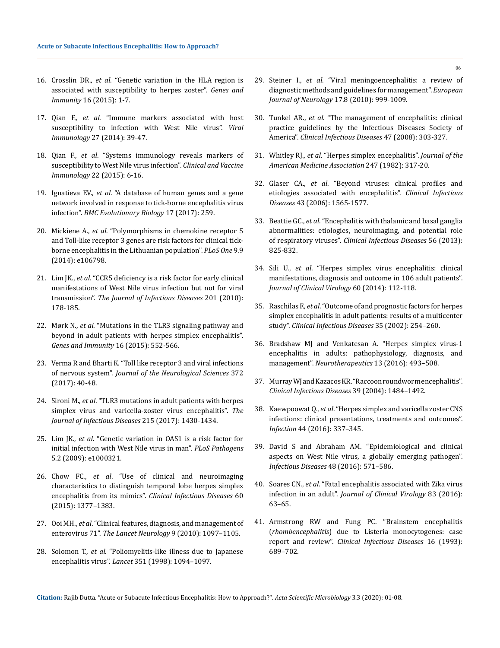- 16. Crosslin DR., *et al*[. "Genetic variation in the HLA region is](https://www.ncbi.nlm.nih.gov/pubmed/25297839)  [associated with susceptibility to herpes zoster".](https://www.ncbi.nlm.nih.gov/pubmed/25297839) *Genes and Immunity* [16 \(2015\): 1-7.](https://www.ncbi.nlm.nih.gov/pubmed/25297839)
- 17. Qian F., *et al*[. "Immune markers associated with host](https://www.ncbi.nlm.nih.gov/pubmed/24605787)  [susceptibility to infection with West Nile virus".](https://www.ncbi.nlm.nih.gov/pubmed/24605787) *Viral Immunology* [27 \(2014\): 39-47.](https://www.ncbi.nlm.nih.gov/pubmed/24605787)
- 18. Qian F., *et al*[. "Systems immunology reveals markers of](https://www.ncbi.nlm.nih.gov/pubmed/25355795)  [susceptibility to West Nile virus infection".](https://www.ncbi.nlm.nih.gov/pubmed/25355795) *Clinical and Vaccine Immunology* [22 \(2015\): 6-16.](https://www.ncbi.nlm.nih.gov/pubmed/25355795)
- 19. Ignatieva EV., *et al*[. "A database of human genes and a gene](https://www.ncbi.nlm.nih.gov/pubmed/29297316)  [network involved in response to tick-borne encephalitis virus](https://www.ncbi.nlm.nih.gov/pubmed/29297316)  infection". *[BMC Evolutionary Biology](https://www.ncbi.nlm.nih.gov/pubmed/29297316)* 17 (2017): 259.
- 20. Mickiene A., *et al*[. "Polymorphisms in chemokine receptor 5](https://www.ncbi.nlm.nih.gov/pubmed/25226020)  [and Toll-like receptor 3 genes are risk factors for clinical tick](https://www.ncbi.nlm.nih.gov/pubmed/25226020)[borne encephalitis in the Lithuanian population".](https://www.ncbi.nlm.nih.gov/pubmed/25226020) *PLoS One* 9.9 [\(2014\): e106798.](https://www.ncbi.nlm.nih.gov/pubmed/25226020)
- 21. Lim JK., *et al*[. "CCR5 deficiency is a risk factor for early clinical](https://www.ncbi.nlm.nih.gov/pmc/articles/PMC2934858/)  [manifestations of West Nile virus infection but not for viral](https://www.ncbi.nlm.nih.gov/pmc/articles/PMC2934858/)  transmission". *[The Journal of Infectious Diseases](https://www.ncbi.nlm.nih.gov/pmc/articles/PMC2934858/)* 201 (2010): [178-185.](https://www.ncbi.nlm.nih.gov/pmc/articles/PMC2934858/)
- 22. Mørk N., *et al*[. "Mutations in the TLR3 signaling pathway and](https://www.ncbi.nlm.nih.gov/pubmed/26513235)  [beyond in adult patients with herpes simplex encephalitis".](https://www.ncbi.nlm.nih.gov/pubmed/26513235)  *[Genes and Immunity](https://www.ncbi.nlm.nih.gov/pubmed/26513235)* 16 (2015): 552-566.
- 23. [Verma R and Bharti K. "Toll like receptor 3 and viral infections](https://www.ncbi.nlm.nih.gov/pubmed/28017244)  of nervous system". *[Journal of the Neurological Sciences](https://www.ncbi.nlm.nih.gov/pubmed/28017244)* 372 [\(2017\): 40-48.](https://www.ncbi.nlm.nih.gov/pubmed/28017244)
- 24. Sironi M., *et al*[. "TLR3 mutations in adult patients with herpes](https://www.ncbi.nlm.nih.gov/pubmed/28368532)  [simplex virus and varicella-zoster virus encephalitis".](https://www.ncbi.nlm.nih.gov/pubmed/28368532) *The [Journal of Infectious Diseases](https://www.ncbi.nlm.nih.gov/pubmed/28368532)* 215 (2017): 1430-1434.
- 25. Lim JK., *et al*[. "Genetic variation in OAS1 is a risk factor for](https://journals.plos.org/plospathogens/article/figure?id=10.1371/journal.ppat.1000321.t003)  [initial infection with West Nile virus in man".](https://journals.plos.org/plospathogens/article/figure?id=10.1371/journal.ppat.1000321.t003) *PLoS Pathogens*  [5.2 \(2009\): e1000321.](https://journals.plos.org/plospathogens/article/figure?id=10.1371/journal.ppat.1000321.t003)
- 26. Chow FC., *et al*[. "Use of clinical and neuroimaging](https://www.ncbi.nlm.nih.gov/pubmed/25637586)  [characteristics to distinguish temporal lobe herpes simplex](https://www.ncbi.nlm.nih.gov/pubmed/25637586)  [encephalitis from its mimics".](https://www.ncbi.nlm.nih.gov/pubmed/25637586) *Clinical Infectious Diseases* 60 [\(2015\): 1377–1383.](https://www.ncbi.nlm.nih.gov/pubmed/25637586)
- 27. Ooi MH., *et al*[. "Clinical features, diagnosis, and management of](https://www.ncbi.nlm.nih.gov/pubmed/20965438)  enterovirus 71". *[The Lancet Neurology](https://www.ncbi.nlm.nih.gov/pubmed/20965438)* 9 (2010): 1097–1105.
- 28. Solomon T., *et al*[. "Poliomyelitis-like illness due to Japanese](https://www.thelancet.com/journals/lancet/article/PIIS0140673697075090/fulltext)  encephalitis virus". *Lancet* [351 \(1998\): 1094–1097.](https://www.thelancet.com/journals/lancet/article/PIIS0140673697075090/fulltext)
- 29. Steiner I., *et al*[. "Viral meningoencephalitis: a review of](https://www.ncbi.nlm.nih.gov/pubmed/20236175)  [diagnostic methods and guidelines for management".](https://www.ncbi.nlm.nih.gov/pubmed/20236175) *European Journal of Neurology* [17.8 \(2010\): 999-1009.](https://www.ncbi.nlm.nih.gov/pubmed/20236175)
- 30. Tunkel AR., *et al*[. "The management of encephalitis: clinical](https://www.ncbi.nlm.nih.gov/pubmed/18582201)  [practice guidelines by the Infectious Diseases Society of](https://www.ncbi.nlm.nih.gov/pubmed/18582201)  America". *[Clinical Infectious Diseases](https://www.ncbi.nlm.nih.gov/pubmed/18582201)* 47 (2008): 303-327.
- 31. Whitley RJ., *et al*[. "Herpes simplex encephalitis".](https://www.ncbi.nlm.nih.gov/pubmed/6275134) *Journal of the [American Medicine Association](https://www.ncbi.nlm.nih.gov/pubmed/6275134)* 247 (1982): 317-20.
- 32. Glaser CA., *et al*[. "Beyond viruses: clinical profiles and](https://www.researchgate.net/publication/6689102_Beyond_Viruses_Clinical_Profiles_and_Etiologies_Associated_with_Encephalitis)  [etiologies associated with encephalitis".](https://www.researchgate.net/publication/6689102_Beyond_Viruses_Clinical_Profiles_and_Etiologies_Associated_with_Encephalitis) *Clinical Infectious Diseases* [43 \(2006\): 1565-1577.](https://www.researchgate.net/publication/6689102_Beyond_Viruses_Clinical_Profiles_and_Etiologies_Associated_with_Encephalitis)
- 33. Beattie GC., *et al*[. "Encephalitis with thalamic and basal ganglia](https://academic.oup.com/cid/article/56/6/825/312318)  [abnormalities: etiologies, neuroimaging, and potential role](https://academic.oup.com/cid/article/56/6/825/312318)  of respiratory viruses". *[Clinical Infectious Diseases](https://academic.oup.com/cid/article/56/6/825/312318)* 56 (2013): [825-832.](https://academic.oup.com/cid/article/56/6/825/312318)
- 34. Sili U., *et al*[. "Herpes simplex virus encephalitis: clinical](https://www.ncbi.nlm.nih.gov/pubmed/24768322)  [manifestations, diagnosis and outcome in 106 adult patients".](https://www.ncbi.nlm.nih.gov/pubmed/24768322)  *[Journal of Clinical Virology](https://www.ncbi.nlm.nih.gov/pubmed/24768322)* 60 (2014): 112-118.
- 35. Raschilas F., *et al*[. "Outcome of and prognostic factors for herpes](https://www.ncbi.nlm.nih.gov/pubmed/12115090)  [simplex encephalitis in adult patients: results of a multicenter](https://www.ncbi.nlm.nih.gov/pubmed/12115090)  study". *[Clinical Infectious Diseases](https://www.ncbi.nlm.nih.gov/pubmed/12115090)* 35 (2002): 254–260.
- 36. [Bradshaw MJ and Venkatesan A. "Herpes simplex virus-1](https://www.ncbi.nlm.nih.gov/pubmed/27106239)  [encephalitis in adults: pathophysiology, diagnosis, and](https://www.ncbi.nlm.nih.gov/pubmed/27106239)  management". *Neurotherapeutics* [13 \(2016\): 493–508.](https://www.ncbi.nlm.nih.gov/pubmed/27106239)
- 37. [Murray WJ and Kazacos KR. "Raccoon roundworm encephalitis".](https://academic.oup.com/cid/article/39/10/1484/459209)  *[Clinical Infectious Diseases](https://academic.oup.com/cid/article/39/10/1484/459209)* 39 (2004): 1484–1492.
- 38. Kaewpoowat Q., *et al*[. "Herpes simplex and varicella zoster CNS](https://www.ncbi.nlm.nih.gov/pubmed/26680781) [infections: clinical presentations, treatments and outcomes".](https://www.ncbi.nlm.nih.gov/pubmed/26680781)  *Infection* [44 \(2016\): 337–345.](https://www.ncbi.nlm.nih.gov/pubmed/26680781)
- 39. [David S and Abraham AM. "Epidemiological and clinical](https://www.researchgate.net/publication/303463720_Epidemiological_and_clinical_aspects_on_West_Nile_virus_a_globally_emerging_pathogen)  [aspects on West Nile virus, a globally emerging pathogen".](https://www.researchgate.net/publication/303463720_Epidemiological_and_clinical_aspects_on_West_Nile_virus_a_globally_emerging_pathogen)  *Infectious Diseases* [48 \(2016\): 571–586.](https://www.researchgate.net/publication/303463720_Epidemiological_and_clinical_aspects_on_West_Nile_virus_a_globally_emerging_pathogen)
- 40. Soares CN., *et al*[. "Fatal encephalitis associated with Zika virus](https://www.ncbi.nlm.nih.gov/pubmed/27598870)  infection in an adult". *[Journal of Clinical Virology](https://www.ncbi.nlm.nih.gov/pubmed/27598870)* 83 (2016): [63–65.](https://www.ncbi.nlm.nih.gov/pubmed/27598870)
- 41. [Armstrong RW and Fung PC. "Brainstem encephalitis](https://www.ncbi.nlm.nih.gov/pubmed/8507761)  (*rhombencephalitis*[\) due to Listeria monocytogenes: case](https://www.ncbi.nlm.nih.gov/pubmed/8507761)  report and review". *[Clinical Infectious Diseases](https://www.ncbi.nlm.nih.gov/pubmed/8507761)* 16 (1993): [689–702.](https://www.ncbi.nlm.nih.gov/pubmed/8507761)

**Citation:** Rajib Dutta*.* "Acute or Subacute Infectious Encephalitis: How to Approach?". *Acta Scientific Microbiology* 3.3 (2020): 01-08.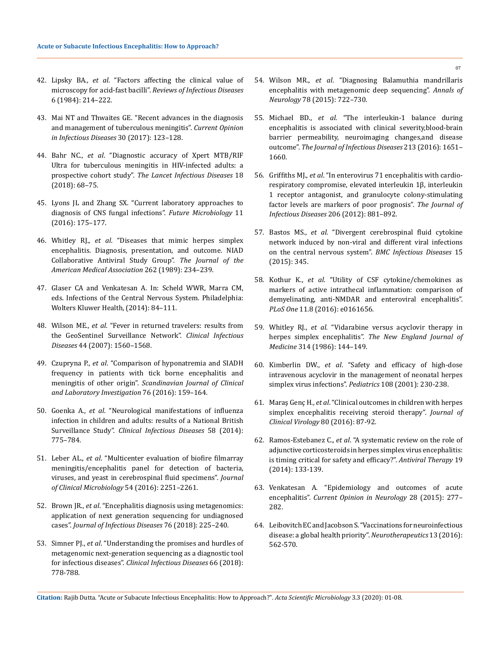- 42. Lipsky BA., *et al*[. "Factors affecting the clinical value of](https://www.ncbi.nlm.nih.gov/pubmed/6203161)  microscopy for acid-fast bacilli". *[Reviews of Infectious Diseases](https://www.ncbi.nlm.nih.gov/pubmed/6203161)*  [6 \(1984\): 214–222.](https://www.ncbi.nlm.nih.gov/pubmed/6203161)
- 43. [Mai NT and Thwaites GE. "Recent advances in the diagnosis](https://www.ncbi.nlm.nih.gov/pubmed/27798497)  [and management of tuberculous meningitis".](https://www.ncbi.nlm.nih.gov/pubmed/27798497) *Current Opinion [in Infectious Diseases](https://www.ncbi.nlm.nih.gov/pubmed/27798497)* 30 (2017): 123–128.
- 44. Bahr NC., *et al*[. "Diagnostic accuracy of Xpert MTB/RIF](https://www.ncbi.nlm.nih.gov/pubmed/28919338)  [Ultra for tuberculous meningitis in HIV-infected adults: a](https://www.ncbi.nlm.nih.gov/pubmed/28919338)  prospective cohort study". *[The Lancet Infectious Diseases](https://www.ncbi.nlm.nih.gov/pubmed/28919338)* 18 [\(2018\): 68–75.](https://www.ncbi.nlm.nih.gov/pubmed/28919338)
- 45. [Lyons JL and Zhang SX. "Current laboratory approaches to](https://www.futuremedicine.com/doi/abs/10.2217/fmb.15.138?journalCode=fmb)  [diagnosis of CNS fungal infections".](https://www.futuremedicine.com/doi/abs/10.2217/fmb.15.138?journalCode=fmb) *Future Microbiology* 11 [\(2016\): 175–177.](https://www.futuremedicine.com/doi/abs/10.2217/fmb.15.138?journalCode=fmb)
- 46. Whitley RJ., *et al*[. "Diseases that mimic herpes simplex](https://www.ncbi.nlm.nih.gov/pubmed/2544743)  [encephalitis. Diagnosis, presentation, and outcome. NIAD](https://www.ncbi.nlm.nih.gov/pubmed/2544743)  [Collaborative Antiviral Study Group".](https://www.ncbi.nlm.nih.gov/pubmed/2544743) *The Journal of the [American Medical Association](https://www.ncbi.nlm.nih.gov/pubmed/2544743)* 262 (1989): 234–239.
- 47. Glaser CA and Venkatesan A. In: Scheld WWR, Marra CM, eds. Infections of the Central Nervous System. Philadelphia: Wolters Kluwer Health, (2014): 84–111.
- 48. Wilson ME., *et al*[. "Fever in returned travelers: results from](https://academic.oup.com/cid/article/44/12/1560/278908)  [the GeoSentinel Surveillance Network".](https://academic.oup.com/cid/article/44/12/1560/278908) *Clinical Infectious Diseases* [44 \(2007\): 1560–1568.](https://academic.oup.com/cid/article/44/12/1560/278908)
- 49. Czupryna P., *et al*[. "Comparison of hyponatremia and SIADH](https://www.ncbi.nlm.nih.gov/pubmed/26785285)  [frequency in patients with tick borne encephalitis and](https://www.ncbi.nlm.nih.gov/pubmed/26785285)  meningitis of other origin". *[Scandinavian Journal of Clinical](https://www.ncbi.nlm.nih.gov/pubmed/26785285)  [and Laboratory Investigation](https://www.ncbi.nlm.nih.gov/pubmed/26785285)* 76 (2016): 159–164.
- 50. Goenka A., *et al*[. "Neurological manifestations of influenza](https://www.ncbi.nlm.nih.gov/pubmed/24352349)  [infection in children and adults: results of a National British](https://www.ncbi.nlm.nih.gov/pubmed/24352349)  Surveillance Study". *[Clinical Infectious Diseases](https://www.ncbi.nlm.nih.gov/pubmed/24352349)* 58 (2014): [775–784.](https://www.ncbi.nlm.nih.gov/pubmed/24352349)
- 51. Leber AL., *et al*[. "Multicenter evaluation of biofire filmarray](https://www.ncbi.nlm.nih.gov/pubmed/27335149)  [meningitis/encephalitis panel for detection of bacteria,](https://www.ncbi.nlm.nih.gov/pubmed/27335149)  [viruses, and yeast in cerebrospinal fluid specimens".](https://www.ncbi.nlm.nih.gov/pubmed/27335149) *Journal [of Clinical Microbiology](https://www.ncbi.nlm.nih.gov/pubmed/27335149)* 54 (2016): 2251–2261.
- 52. Brown JR., *et al*[. "Encephalitis diagnosis using metagenomics:](https://www.ncbi.nlm.nih.gov/pubmed/29305150)  [application of next generation sequencing for undiagnosed](https://www.ncbi.nlm.nih.gov/pubmed/29305150)  cases". *[Journal of Infectious Diseases](https://www.ncbi.nlm.nih.gov/pubmed/29305150)* 76 (2018): 225–240.
- 53. Simner PJ., *et al*[. "Understanding the promises and hurdles of](https://www.ncbi.nlm.nih.gov/pubmed/29040428)  [metagenomic next-generation sequencing as a diagnostic tool](https://www.ncbi.nlm.nih.gov/pubmed/29040428)  for infectious diseases". *[Clinical Infectious Diseases](https://www.ncbi.nlm.nih.gov/pubmed/29040428)* 66 (2018): [778-788.](https://www.ncbi.nlm.nih.gov/pubmed/29040428)
- 54. Wilson MR., *et al*[. "Diagnosing Balamuthia mandrillaris](https://www.ncbi.nlm.nih.gov/pubmed/26290222)  [encephalitis with metagenomic deep sequencing".](https://www.ncbi.nlm.nih.gov/pubmed/26290222) *Annals of Neurology* [78 \(2015\): 722–730.](https://www.ncbi.nlm.nih.gov/pubmed/26290222)
- 55. Michael BD., *et al*[. "The interleukin-1 balance during](https://www.ncbi.nlm.nih.gov/pubmed/26712949)  [encephalitis is associated with clinical severity,blood-brain](https://www.ncbi.nlm.nih.gov/pubmed/26712949)  [barrier permeability, neuroimaging changes,and disease](https://www.ncbi.nlm.nih.gov/pubmed/26712949)  outcome". *[The Journal of Infectious Diseases](https://www.ncbi.nlm.nih.gov/pubmed/26712949)* 213 (2016): 1651– [1660.](https://www.ncbi.nlm.nih.gov/pubmed/26712949)
- 56. Griffiths MJ., *et al*[. "In enterovirus 71 encephalitis with cardio](https://www.ncbi.nlm.nih.gov/pubmed/22829643)[respiratory compromise, elevated interleukin 1β, interleukin](https://www.ncbi.nlm.nih.gov/pubmed/22829643)  [1 receptor antagonist, and granulocyte colony-stimulating](https://www.ncbi.nlm.nih.gov/pubmed/22829643)  [factor levels are markers of poor prognosis".](https://www.ncbi.nlm.nih.gov/pubmed/22829643) *The Journal of Infectious Diseases* [206 \(2012\): 881–892.](https://www.ncbi.nlm.nih.gov/pubmed/22829643)
- 57. Bastos MS., *et al*[. "Divergent cerebrospinal fluid cytokine](https://www.ncbi.nlm.nih.gov/pmc/articles/PMC4541733/)  [network induced by non-viral and different viral infections](https://www.ncbi.nlm.nih.gov/pmc/articles/PMC4541733/)  [on the central nervous system".](https://www.ncbi.nlm.nih.gov/pmc/articles/PMC4541733/) *BMC Infectious Diseases* 15 [\(2015\): 345.](https://www.ncbi.nlm.nih.gov/pmc/articles/PMC4541733/)
- 58. Kothur K., *et al*[. "Utility of CSF cytokine/chemokines as](https://www.ncbi.nlm.nih.gov/pubmed/27575749)  [markers of active intrathecal inflammation: comparison of](https://www.ncbi.nlm.nih.gov/pubmed/27575749)  [demyelinating, anti-NMDAR and enteroviral encephalitis".](https://www.ncbi.nlm.nih.gov/pubmed/27575749)  *PLoS One* [11.8 \(2016\): e0161656.](https://www.ncbi.nlm.nih.gov/pubmed/27575749)
- 59. Whitley RJ., *et al*[. "Vidarabine versus acyclovir therapy in](https://www.nejm.org/doi/full/10.1056/NEJM198601163140303)  herpes simplex encephalitis". *[The New England Journal of](https://www.nejm.org/doi/full/10.1056/NEJM198601163140303)  Medicine* [314 \(1986\): 144–149.](https://www.nejm.org/doi/full/10.1056/NEJM198601163140303)
- 60. Kimberlin DW., *et al*[. "Safety and efficacy of high-dose](https://www.ncbi.nlm.nih.gov/pubmed/11483782)  [intravenous acyclovir in the management of neonatal herpes](https://www.ncbi.nlm.nih.gov/pubmed/11483782)  [simplex virus infections".](https://www.ncbi.nlm.nih.gov/pubmed/11483782) *Pediatrics* 108 (2001): 230-238.
- 61. Maraş Genç H., *et al*[. "Clinical outcomes in children with herpes](https://www.ncbi.nlm.nih.gov/pubmed/27218417)  [simplex encephalitis receiving steroid therapy".](https://www.ncbi.nlm.nih.gov/pubmed/27218417) *Journal of Clinical Virology* [80 \(2016\): 87-92.](https://www.ncbi.nlm.nih.gov/pubmed/27218417)
- 62. Ramos-Estebanez C., *et al*[. "A systematic review on the role of](https://www.ncbi.nlm.nih.gov/pubmed/24009096)  [adjunctive corticosteroids in herpes simplex virus encephalitis:](https://www.ncbi.nlm.nih.gov/pubmed/24009096)  [is timing critical for safety and efficacy?".](https://www.ncbi.nlm.nih.gov/pubmed/24009096) *Antiviral Therapy* 19 [\(2014\): 133-139.](https://www.ncbi.nlm.nih.gov/pubmed/24009096)
- 63. [Venkatesan A. "Epidemiology and outcomes of acute](https://journals.lww.com/co-neurology/Abstract/2015/06000/Epidemiology_and_outcomes_of_acute_encephalitis.12.aspx)  encephalitis". *[Current Opinion in Neurology](https://journals.lww.com/co-neurology/Abstract/2015/06000/Epidemiology_and_outcomes_of_acute_encephalitis.12.aspx)* 28 (2015): 277– [282.](https://journals.lww.com/co-neurology/Abstract/2015/06000/Epidemiology_and_outcomes_of_acute_encephalitis.12.aspx)
- 64. [Leibovitch EC and Jacobson S. "Vaccinations for neuroinfectious](https://www.ncbi.nlm.nih.gov/pubmed/27365085)  [disease: a global health priority".](https://www.ncbi.nlm.nih.gov/pubmed/27365085) *Neurotherapeutics* 13 (2016): [562-570.](https://www.ncbi.nlm.nih.gov/pubmed/27365085)

**Citation:** Rajib Dutta*.* "Acute or Subacute Infectious Encephalitis: How to Approach?". *Acta Scientific Microbiology* 3.3 (2020): 01-08.